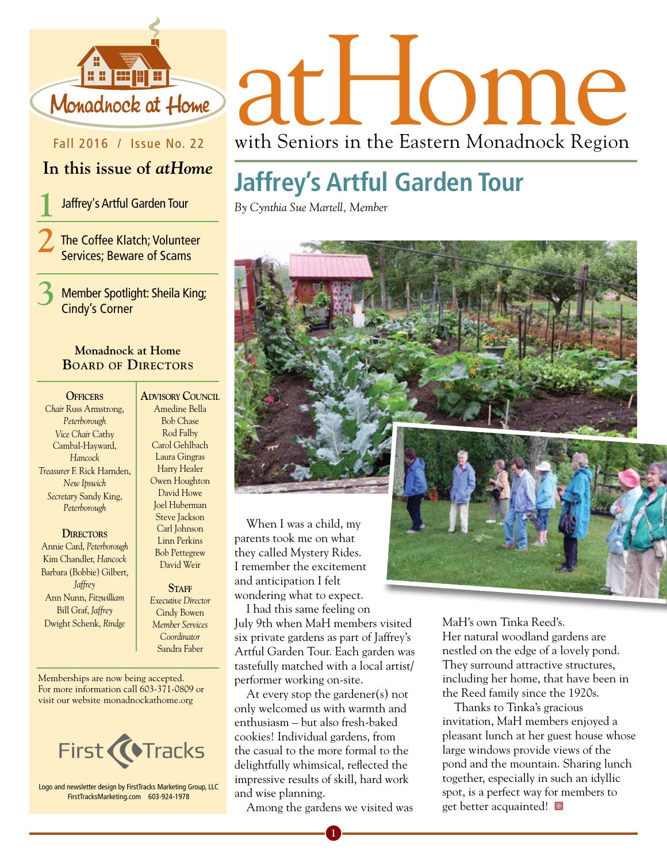

Fall 2016 / Issue No. 22

## **In this issue of** *atHome*

**1** Jaffrey's Artful Garden Tour

**2**The Coffee Klatch; Volunteer Services; Beware of Scams

**3** Member Spotlight: Sheila King; Cindy's Corner

### **Monadnock at Home Board of Directors**

#### **Officers**

*Chair* Russ Armstrong, *Peterborough Vice Chair* Cathy Cambal-Hayward, *Hancock Treasurer* F. Rick Harnden, *New Ipswich Secretary* Sandy King, *Peterborough*

#### **DIRECTORS**

Annie Card, *Peterborough* Kim Chandler, *Hancock* Barbara (Bobbie) Gilbert, *Jaffrey* Ann Nunn, *Fitzwilliam* Bill Graf, *Jaffrey* Dwight Schenk, *Rindge*

**Advisory Council** Amedine Bella Bob Chase Rod Falby Carol Gehlbach Laura Gingras Harry Healer Owen Houghton David Howe Joel Huberman Steve Jackson Carl Johnson Linn Perkins Bob Pettegrew David Weir

#### STAFF *Executive Director* Cindy Bowen *Member Services Coordinator*  Sandra Faber

Memberships are now being accepted. For more information call 603-371-0809 or visit our website monadnockathome.org



Logo and newsletter design by FirstTracks Marketing Group, LLC FirstTracksMarketing.com 603-924-1978

# Monadhock at Home at HOMP

with Seniors in the Eastern Monadnock Region

## **Jaffrey's Artful Garden Tour**

*By Cynthia Sue Martell, Member*



When I was a child, my parents took me on what they called Mystery Rides. I remember the excitement and anticipation I felt wondering what to expect.

I had this same feeling on July 9th when MaH members visited six private gardens as part of Jaffrey's Artful Garden Tour. Each garden was tastefully matched with a local artist/ performer working on-site.

At every stop the gardener(s) not only welcomed us with warmth and enthusiasm – but also fresh-baked cookies! Individual gardens, from the casual to the more formal to the delightfully whimsical, reflected the impressive results of skill, hard work and wise planning.

Among the gardens we visited was

**1**

MaH's own Tinka Reed's. Her natural woodland gardens are nestled on the edge of a lovely pond. They surround attractive structures, including her home, that have been in the Reed family since the 1920s.

Thanks to Tinka's gracious invitation, MaH members enjoyed a pleasant lunch at her guest house whose large windows provide views of the pond and the mountain. Sharing lunch together, especially in such an idyllic spot, is a perfect way for members to get better acquainted!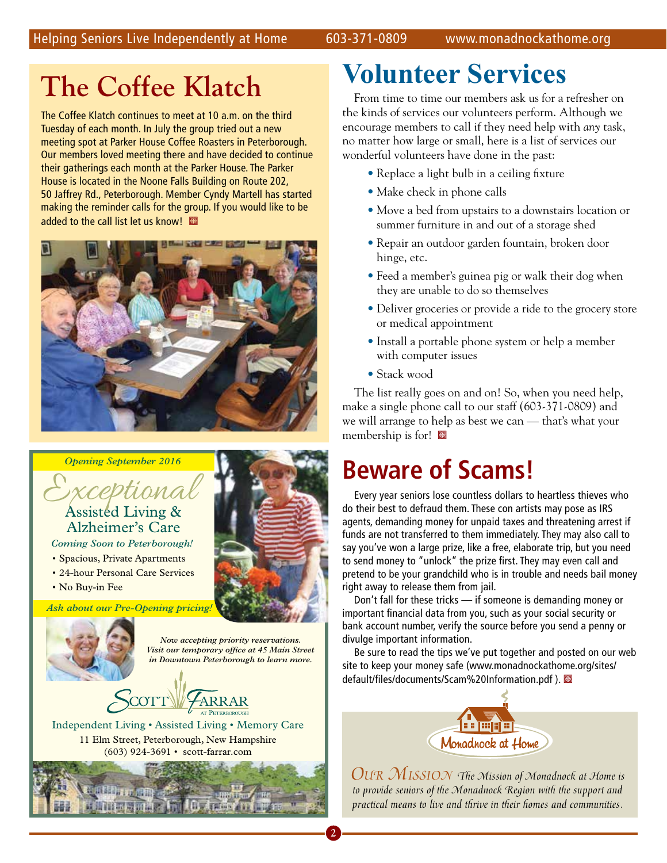## **The Coffee Klatch**

The Coffee Klatch continues to meet at 10 a.m. on the third Tuesday of each month. In July the group tried out a new meeting spot at Parker House Coffee Roasters in Peterborough. Our members loved meeting there and have decided to continue their gatherings each month at the Parker House. The Parker House is located in the Noone Falls Building on Route 202, 50 Jaffrey Rd., Peterborough. Member Cyndy Martell has started making the reminder calls for the group. If you would like to be added to the call list let us know!





# Exceptional Assisted Living & Alzheimer's Care

*Coming Soon to Peterborough!*

- Spacious, Private Apartments
- 24-hour Personal Care Services
- No Buy-in Fee

*Ask about our Pre-Opening pricing!*

Monadnock at Home August 2016



*Now accepting priority reservations. Visit our temporary office at 45 Main Street in Downtown Peterborough to learn more.*

Independent Living • Assisted Living • Memory Care 11 Elm Street, Peterborough, New Hampshire (603) 924-3691 • scott-farrar.com



## **Volunteer Services**

From time to time our members ask us for a refresher on the kinds of services our volunteers perform. Although we encourage members to call if they need help with *any* task, no matter how large or small, here is a list of services our wonderful volunteers have done in the past:

- Replace a light bulb in a ceiling fixture
- Make check in phone calls
- Move a bed from upstairs to a downstairs location or summer furniture in and out of a storage shed
- Repair an outdoor garden fountain, broken door hinge, etc.
- Feed a member's guinea pig or walk their dog when they are unable to do so themselves
- Deliver groceries or provide a ride to the grocery store or medical appointment
- Install a portable phone system or help a member with computer issues
- Stack wood

The list really goes on and on! So, when you need help, make a single phone call to our staff (603-371-0809) and we will arrange to help as best we can — that's what your membership is for!

## **Beware of Scams!**

Every year seniors lose countless dollars to heartless thieves who do their best to defraud them. These con artists may pose as IRS agents, demanding money for unpaid taxes and threatening arrest if funds are not transferred to them immediately. They may also call to say you've won a large prize, like a free, elaborate trip, but you need to send money to "unlock" the prize first. They may even call and pretend to be your grandchild who is in trouble and needs bail money right away to release them from jail.

Don't fall for these tricks — if someone is demanding money or important financial data from you, such as your social security or bank account number, verify the source before you send a penny or divulge important information.

Be sure to read the tips we've put together and posted on our web site to keep your money safe (www.monadnockathome.org/sites/ default/files/documents/Scam%20Information.pdf).



*Our Mission The Mission of Monadnock at Home is to provide seniors of the Monadnock Region with the support and practical means to live and thrive in their homes and communities.*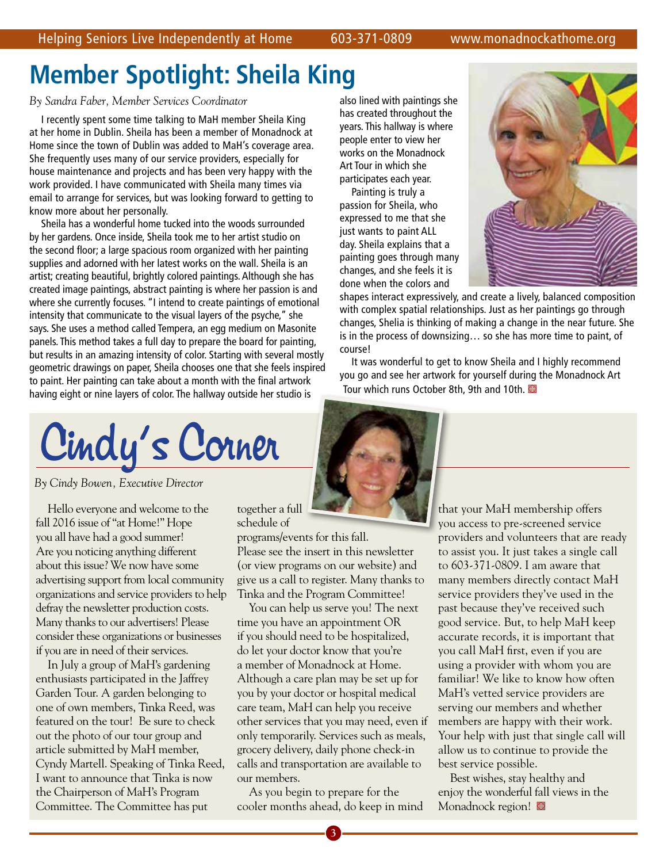## **Member Spotlight: Sheila King**

#### *By Sandra Faber, Member Services Coordinator*

I recently spent some time talking to MaH member Sheila King at her home in Dublin. Sheila has been a member of Monadnock at Home since the town of Dublin was added to MaH's coverage area. She frequently uses many of our service providers, especially for house maintenance and projects and has been very happy with the work provided. I have communicated with Sheila many times via email to arrange for services, but was looking forward to getting to know more about her personally.

Sheila has a wonderful home tucked into the woods surrounded by her gardens. Once inside, Sheila took me to her artist studio on the second floor; a large spacious room organized with her painting supplies and adorned with her latest works on the wall. Sheila is an artist; creating beautiful, brightly colored paintings. Although she has created image paintings, abstract painting is where her passion is and where she currently focuses. "I intend to create paintings of emotional intensity that communicate to the visual layers of the psyche," she says. She uses a method called Tempera, an egg medium on Masonite panels. This method takes a full day to prepare the board for painting, but results in an amazing intensity of color. Starting with several mostly geometric drawings on paper, Sheila chooses one that she feels inspired to paint. Her painting can take about a month with the final artwork having eight or nine layers of color. The hallway outside her studio is

Cindy's Corner

*By Cindy Bowen, Executive Director* 

Hello everyone and welcome to the fall 2016 issue of "at Home!" Hope you all have had a good summer! Are you noticing anything different about this issue? We now have some advertising support from local community organizations and service providers to help defray the newsletter production costs. Many thanks to our advertisers! Please consider these organizations or businesses if you are in need of their services.

In July a group of MaH's gardening enthusiasts participated in the Jaffrey Garden Tour. A garden belonging to one of own members, Tinka Reed, was featured on the tour! Be sure to check out the photo of our tour group and article submitted by MaH member, Cyndy Martell. Speaking of Tinka Reed, I want to announce that Tinka is now the Chairperson of MaH's Program Committee. The Committee has put

together a full schedule of programs/events for this fall. Please see the insert in this newsletter (or view programs on our website) and give us a call to register. Many thanks to

Tinka and the Program Committee! You can help us serve you! The next time you have an appointment OR if you should need to be hospitalized, do let your doctor know that you're a member of Monadnock at Home. Although a care plan may be set up for you by your doctor or hospital medical care team, MaH can help you receive other services that you may need, even if only temporarily. Services such as meals, grocery delivery, daily phone check-in calls and transportation are available to our members.

As you begin to prepare for the cooler months ahead, do keep in mind

**3**



shapes interact expressively, and create a lively, balanced composition with complex spatial relationships. Just as her paintings go through changes, Shelia is thinking of making a change in the near future. She is in the process of downsizing… so she has more time to paint, of course!

It was wonderful to get to know Sheila and I highly recommend you go and see her artwork for yourself during the Monadnock Art Tour which runs October 8th, 9th and 10th.

> that your MaH membership offers you access to pre-screened service providers and volunteers that are ready to assist you. It just takes a single call to 603-371-0809. I am aware that many members directly contact MaH service providers they've used in the past because they've received such good service. But, to help MaH keep accurate records, it is important that you call MaH first, even if you are using a provider with whom you are familiar! We like to know how often MaH's vetted service providers are serving our members and whether members are happy with their work. Your help with just that single call will allow us to continue to provide the best service possible.

Best wishes, stay healthy and enjoy the wonderful fall views in the Monadnock region!  $\blacksquare$ 



changes, and she feels it is done when the colors and